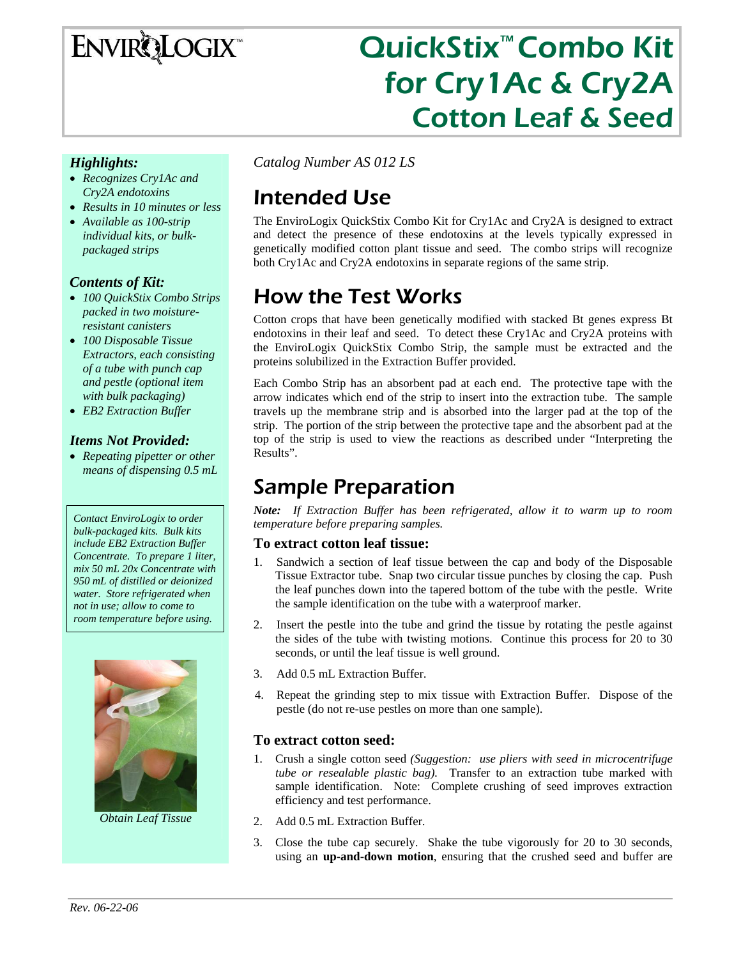## **ENVIRQLOGIX**

# QuickStix™ Combo Kit for Cry1Ac & Cry2A Cotton Leaf & Seed

#### *Highlights:*

- *Recognizes Cry1Ac and Cry2A endotoxins*
- *Results in 10 minutes or less*
- *Available as 100-strip individual kits, or bulkpackaged strips*

#### *Contents of Kit:*

- *100 QuickStix Combo Strips packed in two moistureresistant canisters*
- *100 Disposable Tissue Extractors, each consisting of a tube with punch cap and pestle (optional item with bulk packaging)*
- *EB2 Extraction Buffer*

#### *Items Not Provided:*

• *Repeating pipetter or other means of dispensing 0.5 mL* 

*Contact EnviroLogix to order bulk-packaged kits. Bulk kits include EB2 Extraction Buffer Concentrate. To prepare 1 liter, mix 50 mL 20x Concentrate with 950 mL of distilled or deionized water. Store refrigerated when not in use; allow to come to room temperature before using.* 



*Obtain Leaf Tissue* 

*Catalog Number AS 012 LS* 

## Intended Use

The EnviroLogix QuickStix Combo Kit for Cry1Ac and Cry2A is designed to extract and detect the presence of these endotoxins at the levels typically expressed in genetically modified cotton plant tissue and seed. The combo strips will recognize both Cry1Ac and Cry2A endotoxins in separate regions of the same strip.

## How the Test Works

Cotton crops that have been genetically modified with stacked Bt genes express Bt endotoxins in their leaf and seed. To detect these Cry1Ac and Cry2A proteins with the EnviroLogix QuickStix Combo Strip, the sample must be extracted and the proteins solubilized in the Extraction Buffer provided.

Each Combo Strip has an absorbent pad at each end. The protective tape with the arrow indicates which end of the strip to insert into the extraction tube. The sample travels up the membrane strip and is absorbed into the larger pad at the top of the strip. The portion of the strip between the protective tape and the absorbent pad at the top of the strip is used to view the reactions as described under "Interpreting the Results".

## Sample Preparation

*Note: If Extraction Buffer has been refrigerated, allow it to warm up to room temperature before preparing samples.* 

#### **To extract cotton leaf tissue:**

- 1. Sandwich a section of leaf tissue between the cap and body of the Disposable Tissue Extractor tube. Snap two circular tissue punches by closing the cap. Push the leaf punches down into the tapered bottom of the tube with the pestle. Write the sample identification on the tube with a waterproof marker.
- 2. Insert the pestle into the tube and grind the tissue by rotating the pestle against the sides of the tube with twisting motions. Continue this process for 20 to 30 seconds, or until the leaf tissue is well ground.
- 3. Add 0.5 mL Extraction Buffer.
- 4. Repeat the grinding step to mix tissue with Extraction Buffer. Dispose of the pestle (do not re-use pestles on more than one sample).

#### **To extract cotton seed:**

- 1. Crush a single cotton seed *(Suggestion: use pliers with seed in microcentrifuge tube or resealable plastic bag).* Transfer to an extraction tube marked with sample identification. Note: Complete crushing of seed improves extraction efficiency and test performance.
- 2. Add 0.5 mL Extraction Buffer.
- 3. Close the tube cap securely. Shake the tube vigorously for 20 to 30 seconds, using an **up-and-down motion**, ensuring that the crushed seed and buffer are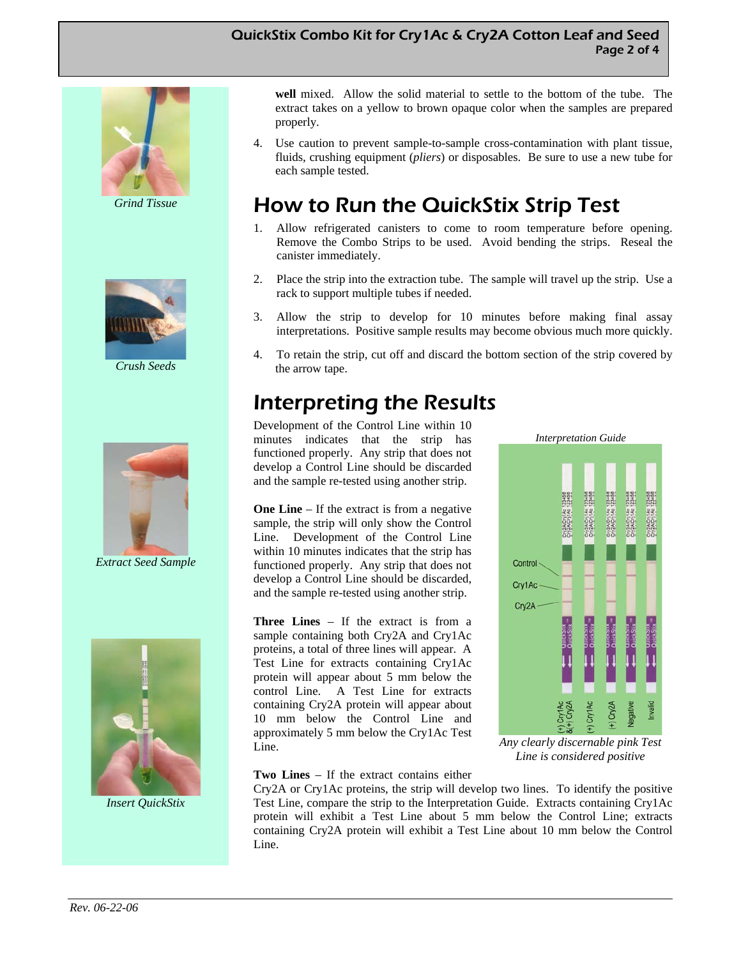#### QuickStix Combo Kit for Cry1Ac & Cry2A Cotton Leaf and Seed Page 2 of 4



*Grind Tissue* 



*Crush Seeds* 



*Extract Seed Sample* 



*Insert QuickStix* 

**well** mixed. Allow the solid material to settle to the bottom of the tube. The extract takes on a yellow to brown opaque color when the samples are prepared properly.

4. Use caution to prevent sample-to-sample cross-contamination with plant tissue, fluids, crushing equipment (*pliers*) or disposables. Be sure to use a new tube for each sample tested.

## How to Run the QuickStix Strip Test

- 1. Allow refrigerated canisters to come to room temperature before opening. Remove the Combo Strips to be used. Avoid bending the strips. Reseal the canister immediately.
- 2. Place the strip into the extraction tube. The sample will travel up the strip. Use a rack to support multiple tubes if needed.
- 3. Allow the strip to develop for 10 minutes before making final assay interpretations. Positive sample results may become obvious much more quickly.
- 4. To retain the strip, cut off and discard the bottom section of the strip covered by the arrow tape.

## Interpreting the Results

Development of the Control Line within 10 minutes indicates that the strip has functioned properly. Any strip that does not develop a Control Line should be discarded and the sample re-tested using another strip.

**One Line** – If the extract is from a negative sample, the strip will only show the Control Line. Development of the Control Line within 10 minutes indicates that the strip has functioned properly. Any strip that does not develop a Control Line should be discarded, and the sample re-tested using another strip.

**Three Lines** – If the extract is from a sample containing both Cry2A and Cry1Ac proteins, a total of three lines will appear. A Test Line for extracts containing Cry1Ac protein will appear about 5 mm below the control Line. A Test Line for extracts containing Cry2A protein will appear about 10 mm below the Control Line and approximately 5 mm below the Cry1Ac Test Line.

# *Interpretation Guide*  Control Cry1Ac Cry2A

*Any clearly discernable pink Test Line is considered positive* 

#### **Two Lines** – If the extract contains either

Cry2A or Cry1Ac proteins, the strip will develop two lines. To identify the positive Test Line, compare the strip to the Interpretation Guide. Extracts containing Cry1Ac protein will exhibit a Test Line about 5 mm below the Control Line; extracts containing Cry2A protein will exhibit a Test Line about 10 mm below the Control Line.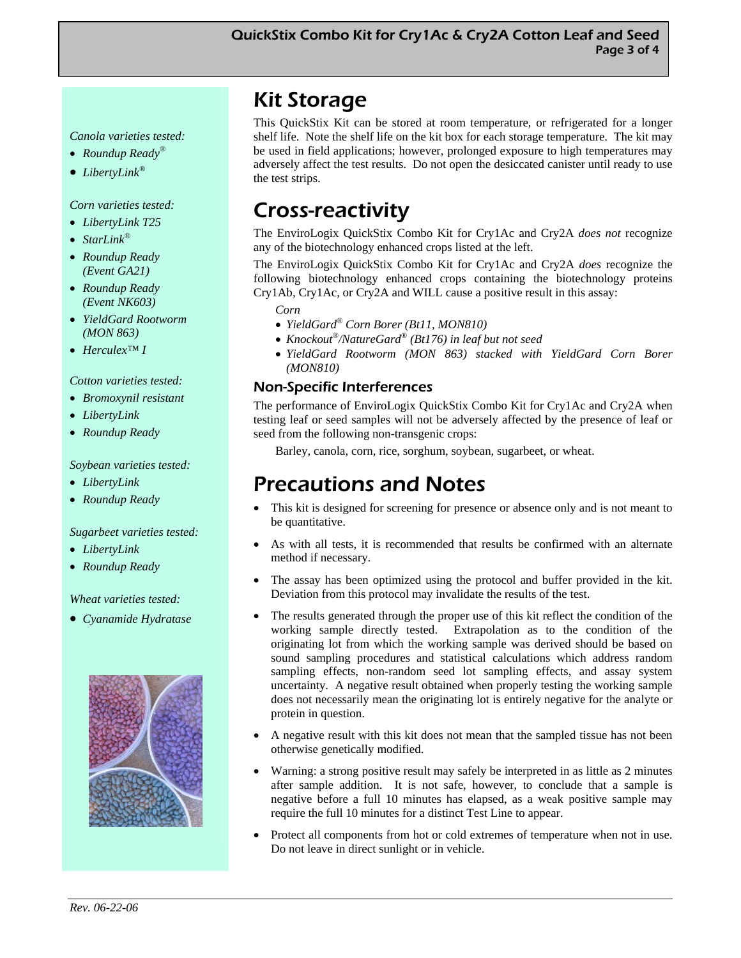#### *Canola varieties tested:*

- *Roundup Ready®*
- *LibertyLink®*

#### *Corn varieties tested:*

- *LibertyLink T25*
- *StarLink®*
- *Roundup Ready (Event GA21)*
- *Roundup Ready (Event NK603)*
- *YieldGard Rootworm (MON 863)*
- *Herculex™ I*

#### *Cotton varieties tested:*

- *Bromoxynil resistant*
- *LibertyLink*
- *Roundup Ready*

#### *Soybean varieties tested:*

- *LibertyLink*
- *Roundup Ready*

#### *Sugarbeet varieties tested:*

- *LibertyLink*
- *Roundup Ready*

#### *Wheat varieties tested:*

• *Cyanamide Hydratase*



## Kit Storage

This QuickStix Kit can be stored at room temperature, or refrigerated for a longer shelf life. Note the shelf life on the kit box for each storage temperature. The kit may be used in field applications; however, prolonged exposure to high temperatures may adversely affect the test results. Do not open the desiccated canister until ready to use the test strips.

## Cross-reactivity

The EnviroLogix QuickStix Combo Kit for Cry1Ac and Cry2A *does not* recognize any of the biotechnology enhanced crops listed at the left.

The EnviroLogix QuickStix Combo Kit for Cry1Ac and Cry2A *does* recognize the following biotechnology enhanced crops containing the biotechnology proteins Cry1Ab, Cry1Ac, or Cry2A and WILL cause a positive result in this assay:

*Corn* 

- *YieldGard® Corn Borer (Bt11, MON810)*
- *Knockout®/NatureGard® (Bt176) in leaf but not seed*
- *YieldGard Rootworm (MON 863) stacked with YieldGard Corn Borer (MON810)*

#### Non-Specific Interferences

The performance of EnviroLogix QuickStix Combo Kit for Cry1Ac and Cry2A when testing leaf or seed samples will not be adversely affected by the presence of leaf or seed from the following non-transgenic crops:

Barley, canola, corn, rice, sorghum, soybean, sugarbeet, or wheat.

## Precautions and Notes

- This kit is designed for screening for presence or absence only and is not meant to be quantitative.
- As with all tests, it is recommended that results be confirmed with an alternate method if necessary.
- The assay has been optimized using the protocol and buffer provided in the kit. Deviation from this protocol may invalidate the results of the test.
- The results generated through the proper use of this kit reflect the condition of the working sample directly tested. Extrapolation as to the condition of the originating lot from which the working sample was derived should be based on sound sampling procedures and statistical calculations which address random sampling effects, non-random seed lot sampling effects, and assay system uncertainty. A negative result obtained when properly testing the working sample does not necessarily mean the originating lot is entirely negative for the analyte or protein in question.
- A negative result with this kit does not mean that the sampled tissue has not been otherwise genetically modified.
- Warning: a strong positive result may safely be interpreted in as little as 2 minutes after sample addition. It is not safe, however, to conclude that a sample is negative before a full 10 minutes has elapsed, as a weak positive sample may require the full 10 minutes for a distinct Test Line to appear.
- Protect all components from hot or cold extremes of temperature when not in use. Do not leave in direct sunlight or in vehicle.